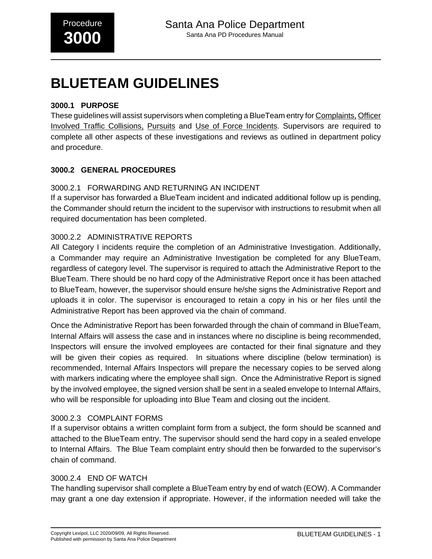# **BLUETEAM GUIDELINES**

#### **3000.1 PURPOSE**

These guidelines will assist supervisors when completing a BlueTeam entry for Complaints, Officer Involved Traffic Collisions, Pursuits and Use of Force Incidents. Supervisors are required to complete all other aspects of these investigations and reviews as outlined in department policy and procedure.

#### **3000.2 GENERAL PROCEDURES**

#### 3000.2.1 FORWARDING AND RETURNING AN INCIDENT

If a supervisor has forwarded a BlueTeam incident and indicated additional follow up is pending, the Commander should return the incident to the supervisor with instructions to resubmit when all required documentation has been completed.

#### 3000.2.2 ADMINISTRATIVE REPORTS

All Category I incidents require the completion of an Administrative Investigation. Additionally, a Commander may require an Administrative Investigation be completed for any BlueTeam, regardless of category level. The supervisor is required to attach the Administrative Report to the BlueTeam. There should be no hard copy of the Administrative Report once it has been attached to BlueTeam, however, the supervisor should ensure he/she signs the Administrative Report and uploads it in color. The supervisor is encouraged to retain a copy in his or her files until the Administrative Report has been approved via the chain of command.

Once the Administrative Report has been forwarded through the chain of command in BlueTeam, Internal Affairs will assess the case and in instances where no discipline is being recommended, Inspectors will ensure the involved employees are contacted for their final signature and they will be given their copies as required. In situations where discipline (below termination) is recommended, Internal Affairs Inspectors will prepare the necessary copies to be served along with markers indicating where the employee shall sign. Once the Administrative Report is signed by the involved employee, the signed version shall be sent in a sealed envelope to Internal Affairs, who will be responsible for uploading into Blue Team and closing out the incident.

#### 3000.2.3 COMPLAINT FORMS

If a supervisor obtains a written complaint form from a subject, the form should be scanned and attached to the BlueTeam entry. The supervisor should send the hard copy in a sealed envelope to Internal Affairs. The Blue Team complaint entry should then be forwarded to the supervisor's chain of command.

#### 3000.2.4 END OF WATCH

The handling supervisor shall complete a BlueTeam entry by end of watch (EOW). A Commander may grant a one day extension if appropriate. However, if the information needed will take the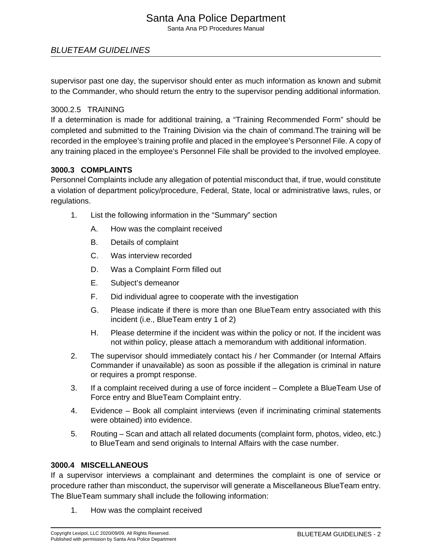# Santa Ana Police Department

Santa Ana PD Procedures Manual

#### BLUETEAM GUIDELINES

supervisor past one day, the supervisor should enter as much information as known and submit to the Commander, who should return the entry to the supervisor pending additional information.

#### 3000.2.5 TRAINING

If a determination is made for additional training, a "Training Recommended Form" should be completed and submitted to the Training Division via the chain of command.The training will be recorded in the employee's training profile and placed in the employee's Personnel File. A copy of any training placed in the employee's Personnel File shall be provided to the involved employee.

#### **3000.3 COMPLAINTS**

Personnel Complaints include any allegation of potential misconduct that, if true, would constitute a violation of department policy/procedure, Federal, State, local or administrative laws, rules, or regulations.

- 1. List the following information in the "Summary" section
	- A. How was the complaint received
	- B. Details of complaint
	- C. Was interview recorded
	- D. Was a Complaint Form filled out
	- E. Subject's demeanor
	- F. Did individual agree to cooperate with the investigation
	- G. Please indicate if there is more than one BlueTeam entry associated with this incident (i.e., BlueTeam entry 1 of 2)
	- H. Please determine if the incident was within the policy or not. If the incident was not within policy, please attach a memorandum with additional information.
- 2. The supervisor should immediately contact his / her Commander (or Internal Affairs Commander if unavailable) as soon as possible if the allegation is criminal in nature or requires a prompt response.
- 3. If a complaint received during a use of force incident Complete a BlueTeam Use of Force entry and BlueTeam Complaint entry.
- 4. Evidence Book all complaint interviews (even if incriminating criminal statements were obtained) into evidence.
- 5. Routing Scan and attach all related documents (complaint form, photos, video, etc.) to BlueTeam and send originals to Internal Affairs with the case number.

#### **3000.4 MISCELLANEOUS**

If a supervisor interviews a complainant and determines the complaint is one of service or procedure rather than misconduct, the supervisor will generate a Miscellaneous BlueTeam entry. The BlueTeam summary shall include the following information:

1. How was the complaint received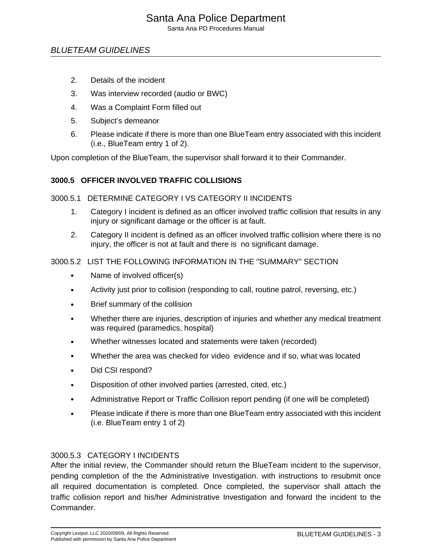### Santa Ana Police Department

Santa Ana PD Procedures Manual

#### BLUETEAM GUIDELINES

- 2. Details of the incident
- 3. Was interview recorded (audio or BWC)
- 4. Was a Complaint Form filled out
- 5. Subject's demeanor
- 6. Please indicate if there is more than one BlueTeam entry associated with this incident (i.e., BlueTeam entry 1 of 2).

Upon completion of the BlueTeam, the supervisor shall forward it to their Commander.

#### **3000.5 OFFICER INVOLVED TRAFFIC COLLISIONS**

#### 3000.5.1 DETERMINE CATEGORY I VS CATEGORY II INCIDENTS

- 1. Category I incident is defined as an officer involved traffic collision that results in any injury or significant damage or the officer is at fault.
- 2. Category II incident is defined as an officer involved traffic collision where there is no injury, the officer is not at fault and there is no significant damage.

#### 3000.5.2 LIST THE FOLLOWING INFORMATION IN THE "SUMMARY" SECTION

- Name of involved officer(s)
- Activity just prior to collision (responding to call, routine patrol, reversing, etc.)
- Brief summary of the collision
- Whether there are injuries, description of injuries and whether any medical treatment was required (paramedics, hospital)
- Whether witnesses located and statements were taken (recorded)
- Whether the area was checked for video evidence and if so, what was located
- Did CSI respond?
- Disposition of other involved parties (arrested, cited, etc.)
- Administrative Report or Traffic Collision report pending (if one will be completed)
- Please indicate if there is more than one BlueTeam entry associated with this incident (i.e. BlueTeam entry 1 of 2)

#### 3000.5.3 CATEGORY I INCIDENTS

After the initial review, the Commander should return the BlueTeam incident to the supervisor, pending completion of the the Administrative Investigation. with instructions to resubmit once all required documentation is completed. Once completed, the supervisor shall attach the traffic collision report and his/her Administrative Investigation and forward the incident to the Commander.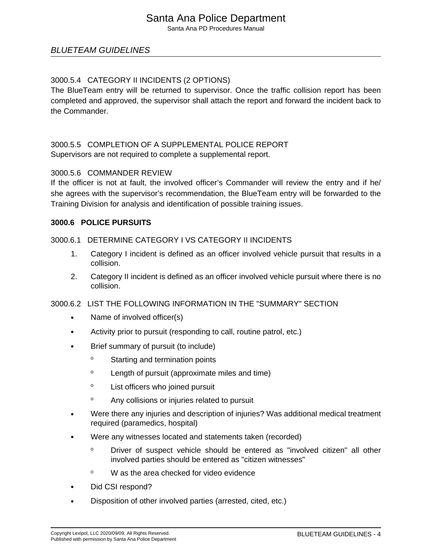Santa Ana PD Procedures Manual

#### BLUETEAM GUIDELINES

#### 3000.5.4 CATEGORY II INCIDENTS (2 OPTIONS)

The BlueTeam entry will be returned to supervisor. Once the traffic collision report has been completed and approved, the supervisor shall attach the report and forward the incident back to the Commander.

## 3000.5.5 COMPLETION OF A SUPPLEMENTAL POLICE REPORT

Supervisors are not required to complete a supplemental report.

#### 3000.5.6 COMMANDER REVIEW

If the officer is not at fault, the involved officer's Commander will review the entry and if he/ she agrees with the supervisor's recommendation, the BlueTeam entry will be forwarded to the Training Division for analysis and identification of possible training issues.

#### **3000.6 POLICE PURSUITS**

#### 3000.6.1 DETERMINE CATEGORY I VS CATEGORY II INCIDENTS

- 1. Category I incident is defined as an officer involved vehicle pursuit that results in a collision.
- 2. Category II incident is defined as an officer involved vehicle pursuit where there is no collision.

#### 3000.6.2 LIST THE FOLLOWING INFORMATION IN THE "SUMMARY" SECTION

- Name of involved officer(s)
- Activity prior to pursuit (responding to call, routine patrol, etc.)
- Brief summary of pursuit (to include)
	- <sup>o</sup> Starting and termination points
	- <sup>o</sup> Length of pursuit (approximate miles and time)
	- <sup>o</sup> List officers who joined pursuit
	- <sup>o</sup> Any collisions or injuries related to pursuit
- Were there any injuries and description of injuries? Was additional medical treatment required (paramedics, hospital)
- Were any witnesses located and statements taken (recorded)
	- <sup>o</sup> Driver of suspect vehicle should be entered as "involved citizen" all other involved parties should be entered as "citizen witnesses"
	- <sup>o</sup> W as the area checked for video evidence
- Did CSI respond?
- Disposition of other involved parties (arrested, cited, etc.)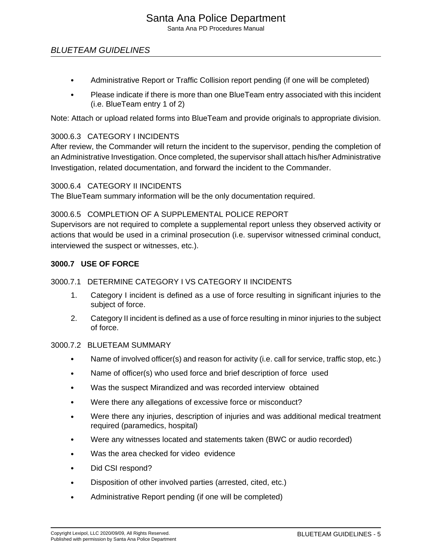Santa Ana PD Procedures Manual

#### BLUETEAM GUIDELINES

- Administrative Report or Traffic Collision report pending (if one will be completed)
- Please indicate if there is more than one BlueTeam entry associated with this incident (i.e. BlueTeam entry 1 of 2)

Note: Attach or upload related forms into BlueTeam and provide originals to appropriate division.

#### 3000.6.3 CATEGORY I INCIDENTS

After review, the Commander will return the incident to the supervisor, pending the completion of an Administrative Investigation. Once completed, the supervisor shall attach his/her Administrative Investigation, related documentation, and forward the incident to the Commander.

#### 3000.6.4 CATEGORY II INCIDENTS

The BlueTeam summary information will be the only documentation required.

#### 3000.6.5 COMPLETION OF A SUPPLEMENTAL POLICE REPORT

Supervisors are not required to complete a supplemental report unless they observed activity or actions that would be used in a criminal prosecution (i.e. supervisor witnessed criminal conduct, interviewed the suspect or witnesses, etc.).

#### **3000.7 USE OF FORCE**

#### 3000.7.1 DETERMINE CATEGORY I VS CATEGORY II INCIDENTS

- 1. Category I incident is defined as a use of force resulting in significant injuries to the subject of force.
- 2. Category II incident is defined as a use of force resulting in minor injuries to the subject of force.

#### 3000.7.2 BLUETEAM SUMMARY

- Name of involved officer(s) and reason for activity (i.e. call for service, traffic stop, etc.)
- Name of officer(s) who used force and brief description of force used
- Was the suspect Mirandized and was recorded interview obtained
- Were there any allegations of excessive force or misconduct?
- Were there any injuries, description of injuries and was additional medical treatment required (paramedics, hospital)
- Were any witnesses located and statements taken (BWC or audio recorded)
- Was the area checked for video evidence
- Did CSI respond?
- Disposition of other involved parties (arrested, cited, etc.)
- Administrative Report pending (if one will be completed)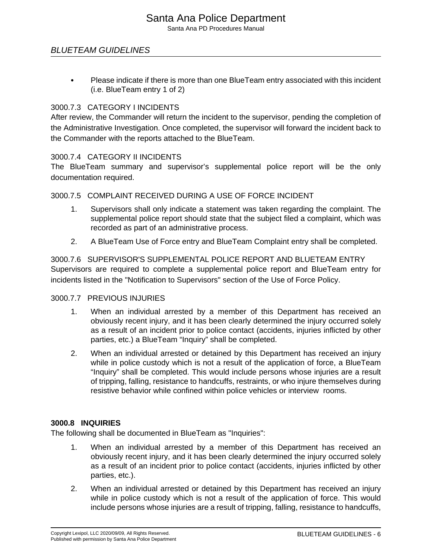BLUETEAM GUIDELINES

• Please indicate if there is more than one BlueTeam entry associated with this incident (i.e. BlueTeam entry 1 of 2)

#### 3000.7.3 CATEGORY I INCIDENTS

After review, the Commander will return the incident to the supervisor, pending the completion of the Administrative Investigation. Once completed, the supervisor will forward the incident back to the Commander with the reports attached to the BlueTeam.

#### 3000.7.4 CATEGORY II INCIDENTS

The BlueTeam summary and supervisor's supplemental police report will be the only documentation required.

#### 3000.7.5 COMPLAINT RECEIVED DURING A USE OF FORCE INCIDENT

- 1. Supervisors shall only indicate a statement was taken regarding the complaint. The supplemental police report should state that the subject filed a complaint, which was recorded as part of an administrative process.
- 2. A BlueTeam Use of Force entry and BlueTeam Complaint entry shall be completed.

#### 3000.7.6 SUPERVISOR'S SUPPLEMENTAL POLICE REPORT AND BLUETEAM ENTRY Supervisors are required to complete a supplemental police report and BlueTeam entry for incidents listed in the "Notification to Supervisors" section of the Use of Force Policy.

#### 3000.7.7 PREVIOUS INJURIES

- 1. When an individual arrested by a member of this Department has received an obviously recent injury, and it has been clearly determined the injury occurred solely as a result of an incident prior to police contact (accidents, injuries inflicted by other parties, etc.) a BlueTeam "Inquiry" shall be completed.
- 2. When an individual arrested or detained by this Department has received an injury while in police custody which is not a result of the application of force, a BlueTeam "Inquiry" shall be completed. This would include persons whose injuries are a result of tripping, falling, resistance to handcuffs, restraints, or who injure themselves during resistive behavior while confined within police vehicles or interview rooms.

#### **3000.8 INQUIRIES**

The following shall be documented in BlueTeam as "Inquiries":

- 1. When an individual arrested by a member of this Department has received an obviously recent injury, and it has been clearly determined the injury occurred solely as a result of an incident prior to police contact (accidents, injuries inflicted by other parties, etc.).
- 2. When an individual arrested or detained by this Department has received an injury while in police custody which is not a result of the application of force. This would include persons whose injuries are a result of tripping, falling, resistance to handcuffs,